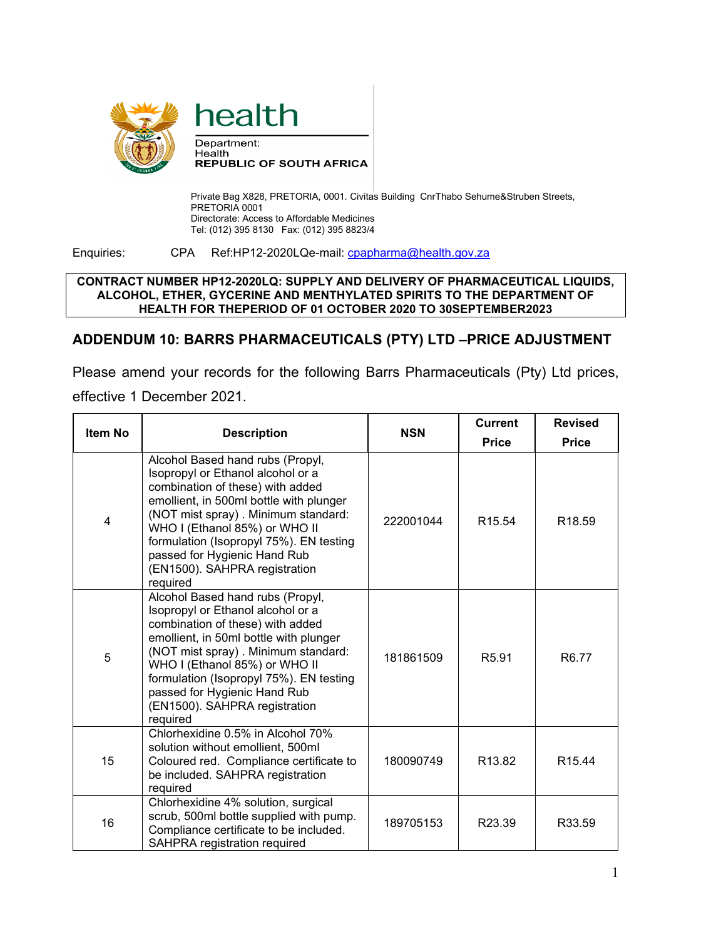

Department: Health **REPUBLIC OF SOUTH AFRICA** 

Private Bag X828, PRETORIA, 0001. Civitas Building CnrThabo Sehume&Struben Streets, PRETORIA 0001 Directorate: Access to Affordable Medicines Tel: (012) 395 8130 Fax: (012) 395 8823/4

Enquiries: CPA Ref:HP12-2020LQe-mail: [cpapharma@health.gov.za](mailto:cpapharma@health.gov.za)

## **CONTRACT NUMBER HP12-2020LQ: SUPPLY AND DELIVERY OF PHARMACEUTICAL LIQUIDS, ALCOHOL, ETHER, GYCERINE AND MENTHYLATED SPIRITS TO THE DEPARTMENT OF HEALTH FOR THEPERIOD OF 01 OCTOBER 2020 TO 30SEPTEMBER2023**

## **ADDENDUM 10: BARRS PHARMACEUTICALS (PTY) LTD –PRICE ADJUSTMENT**

Please amend your records for the following Barrs Pharmaceuticals (Pty) Ltd prices,

## effective 1 December 2021.

| <b>Item No</b> | <b>Description</b>                                                                                                                                                                                                                                                                                                                                   | <b>NSN</b> | <b>Current</b><br><b>Price</b> | <b>Revised</b><br><b>Price</b> |
|----------------|------------------------------------------------------------------------------------------------------------------------------------------------------------------------------------------------------------------------------------------------------------------------------------------------------------------------------------------------------|------------|--------------------------------|--------------------------------|
| 4              | Alcohol Based hand rubs (Propyl,<br>Isopropyl or Ethanol alcohol or a<br>combination of these) with added<br>emollient, in 500ml bottle with plunger<br>(NOT mist spray). Minimum standard:<br>WHO I (Ethanol 85%) or WHO II<br>formulation (Isopropyl 75%). EN testing<br>passed for Hygienic Hand Rub<br>(EN1500). SAHPRA registration<br>required | 222001044  | R <sub>15.54</sub>             | R <sub>18.59</sub>             |
| 5              | Alcohol Based hand rubs (Propyl,<br>Isopropyl or Ethanol alcohol or a<br>combination of these) with added<br>emollient, in 50ml bottle with plunger<br>(NOT mist spray). Minimum standard:<br>WHO I (Ethanol 85%) or WHO II<br>formulation (Isopropyl 75%). EN testing<br>passed for Hygienic Hand Rub<br>(EN1500). SAHPRA registration<br>required  | 181861509  | R <sub>5.91</sub>              | R <sub>6.77</sub>              |
| 15             | Chlorhexidine 0.5% in Alcohol 70%<br>solution without emollient, 500ml<br>Coloured red. Compliance certificate to<br>be included. SAHPRA registration<br>required                                                                                                                                                                                    | 180090749  | R <sub>13.82</sub>             | R <sub>15.44</sub>             |
| 16             | Chlorhexidine 4% solution, surgical<br>scrub, 500ml bottle supplied with pump.<br>Compliance certificate to be included.<br><b>SAHPRA</b> registration required                                                                                                                                                                                      | 189705153  | R23.39                         | R33.59                         |